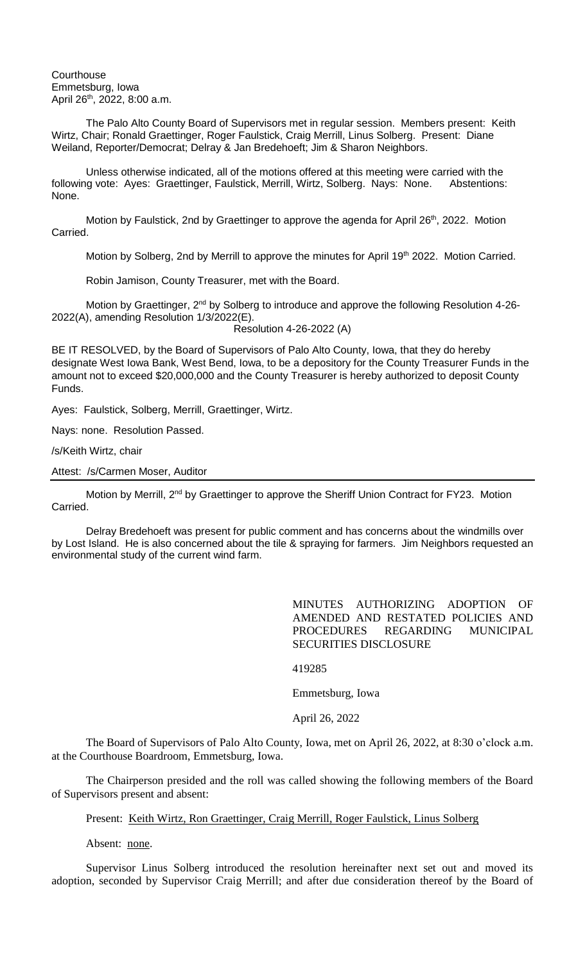**Courthouse** Emmetsburg, Iowa April 26th, 2022, 8:00 a.m.

The Palo Alto County Board of Supervisors met in regular session. Members present: Keith Wirtz, Chair; Ronald Graettinger, Roger Faulstick, Craig Merrill, Linus Solberg. Present: Diane Weiland, Reporter/Democrat; Delray & Jan Bredehoeft; Jim & Sharon Neighbors.

Unless otherwise indicated, all of the motions offered at this meeting were carried with the following vote: Ayes: Graettinger, Faulstick, Merrill, Wirtz, Solberg. Nays: None. Abstentions: None.

Motion by Faulstick, 2nd by Graettinger to approve the agenda for April 26<sup>th</sup>, 2022. Motion Carried.

Motion by Solberg, 2nd by Merrill to approve the minutes for April 19<sup>th</sup> 2022. Motion Carried.

Robin Jamison, County Treasurer, met with the Board.

Motion by Graettinger, 2<sup>nd</sup> by Solberg to introduce and approve the following Resolution 4-26-2022(A), amending Resolution 1/3/2022(E).

Resolution 4-26-2022 (A)

BE IT RESOLVED, by the Board of Supervisors of Palo Alto County, Iowa, that they do hereby designate West Iowa Bank, West Bend, Iowa, to be a depository for the County Treasurer Funds in the amount not to exceed \$20,000,000 and the County Treasurer is hereby authorized to deposit County Funds.

Ayes: Faulstick, Solberg, Merrill, Graettinger, Wirtz.

Nays: none. Resolution Passed.

/s/Keith Wirtz, chair

Attest: /s/Carmen Moser, Auditor

Motion by Merrill, 2<sup>nd</sup> by Graettinger to approve the Sheriff Union Contract for FY23. Motion Carried.

Delray Bredehoeft was present for public comment and has concerns about the windmills over by Lost Island. He is also concerned about the tile & spraying for farmers. Jim Neighbors requested an environmental study of the current wind farm.

> MINUTES AUTHORIZING ADOPTION OF AMENDED AND RESTATED POLICIES AND PROCEDURES REGARDING MUNICIPAL SECURITIES DISCLOSURE

419285

Emmetsburg, Iowa

April 26, 2022

The Board of Supervisors of Palo Alto County, Iowa, met on April 26, 2022, at 8:30 o'clock a.m. at the Courthouse Boardroom, Emmetsburg, Iowa.

The Chairperson presided and the roll was called showing the following members of the Board of Supervisors present and absent:

Present: Keith Wirtz, Ron Graettinger, Craig Merrill, Roger Faulstick, Linus Solberg

Absent: none.

Supervisor Linus Solberg introduced the resolution hereinafter next set out and moved its adoption, seconded by Supervisor Craig Merrill; and after due consideration thereof by the Board of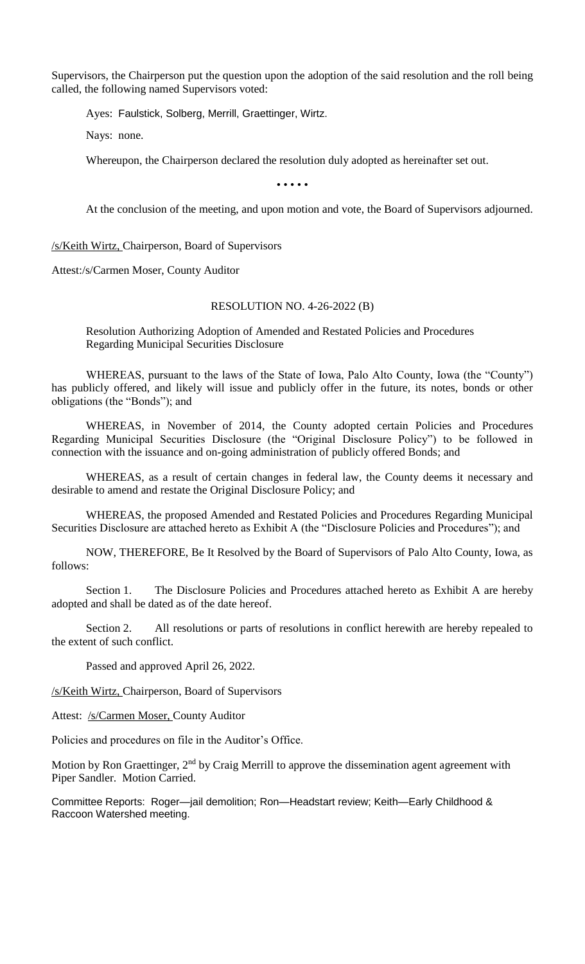Supervisors, the Chairperson put the question upon the adoption of the said resolution and the roll being called, the following named Supervisors voted:

Ayes: Faulstick, Solberg, Merrill, Graettinger, Wirtz.

Nays: none.

Whereupon, the Chairperson declared the resolution duly adopted as hereinafter set out.

• • • • •

At the conclusion of the meeting, and upon motion and vote, the Board of Supervisors adjourned.

/s/Keith Wirtz, Chairperson, Board of Supervisors

Attest:/s/Carmen Moser, County Auditor

## RESOLUTION NO. 4-26-2022 (B)

Resolution Authorizing Adoption of Amended and Restated Policies and Procedures Regarding Municipal Securities Disclosure

WHEREAS, pursuant to the laws of the State of Iowa, Palo Alto County, Iowa (the "County") has publicly offered, and likely will issue and publicly offer in the future, its notes, bonds or other obligations (the "Bonds"); and

WHEREAS, in November of 2014, the County adopted certain Policies and Procedures Regarding Municipal Securities Disclosure (the "Original Disclosure Policy") to be followed in connection with the issuance and on-going administration of publicly offered Bonds; and

WHEREAS, as a result of certain changes in federal law, the County deems it necessary and desirable to amend and restate the Original Disclosure Policy; and

WHEREAS, the proposed Amended and Restated Policies and Procedures Regarding Municipal Securities Disclosure are attached hereto as Exhibit A (the "Disclosure Policies and Procedures"); and

NOW, THEREFORE, Be It Resolved by the Board of Supervisors of Palo Alto County, Iowa, as follows:

Section 1. The Disclosure Policies and Procedures attached hereto as Exhibit A are hereby adopted and shall be dated as of the date hereof.

Section 2. All resolutions or parts of resolutions in conflict herewith are hereby repealed to the extent of such conflict.

Passed and approved April 26, 2022.

/s/Keith Wirtz, Chairperson, Board of Supervisors

Attest: /s/Carmen Moser, County Auditor

Policies and procedures on file in the Auditor's Office.

Motion by Ron Graettinger, 2<sup>nd</sup> by Craig Merrill to approve the dissemination agent agreement with Piper Sandler. Motion Carried.

Committee Reports: Roger—jail demolition; Ron—Headstart review; Keith—Early Childhood & Raccoon Watershed meeting.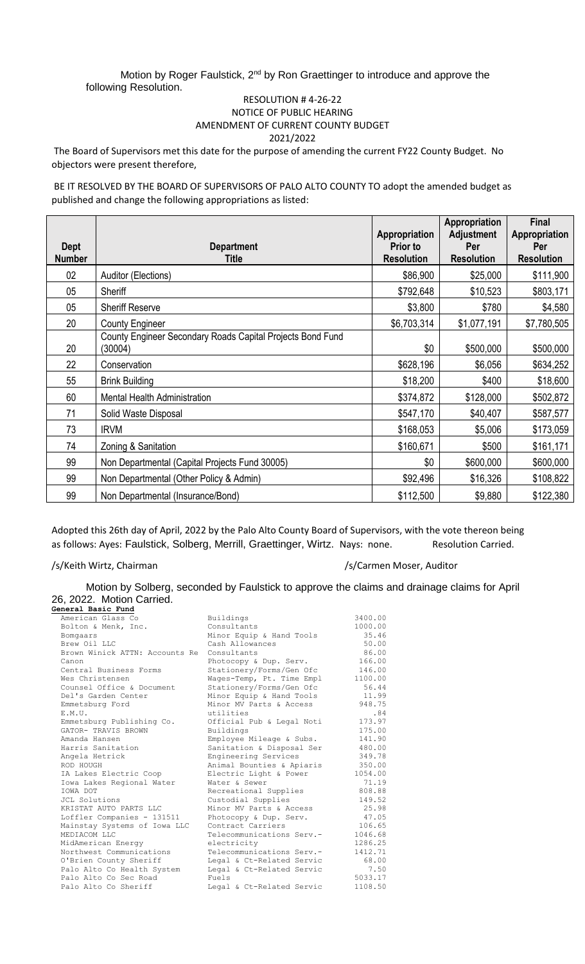Motion by Roger Faulstick, 2<sup>nd</sup> by Ron Graettinger to introduce and approve the following Resolution.

## RESOLUTION # 4-26-22 NOTICE OF PUBLIC HEARING AMENDMENT OF CURRENT COUNTY BUDGET 2021/2022

The Board of Supervisors met this date for the purpose of amending the current FY22 County Budget. No objectors were present therefore,

BE IT RESOLVED BY THE BOARD OF SUPERVISORS OF PALO ALTO COUNTY TO adopt the amended budget as published and change the following appropriations as listed:

| <b>Dept</b>   | <b>Department</b>                                                     | Appropriation<br><b>Prior to</b> | Appropriation<br><b>Adjustment</b><br>Per | Final<br><b>Appropriation</b><br>Per |
|---------------|-----------------------------------------------------------------------|----------------------------------|-------------------------------------------|--------------------------------------|
| <b>Number</b> | <b>Title</b>                                                          | <b>Resolution</b>                | <b>Resolution</b>                         | <b>Resolution</b>                    |
| 02            | Auditor (Elections)                                                   | \$86,900                         | \$25,000                                  | \$111,900                            |
| 05            | <b>Sheriff</b>                                                        | \$792,648                        | \$10,523                                  | \$803,171                            |
| 05            | <b>Sheriff Reserve</b>                                                | \$3,800                          | \$780                                     | \$4,580                              |
| 20            | <b>County Engineer</b>                                                | \$6,703,314                      | \$1,077,191                               | \$7,780,505                          |
| 20            | County Engineer Secondary Roads Capital Projects Bond Fund<br>(30004) | \$0                              | \$500,000                                 | \$500,000                            |
| 22            | Conservation                                                          | \$628,196                        | \$6,056                                   | \$634,252                            |
| 55            | <b>Brink Building</b>                                                 | \$18,200                         | \$400                                     | \$18,600                             |
| 60            | <b>Mental Health Administration</b>                                   | \$374,872                        | \$128,000                                 | \$502,872                            |
| 71            | Solid Waste Disposal                                                  | \$547,170                        | \$40,407                                  | \$587,577                            |
| 73            | <b>IRVM</b>                                                           | \$168,053                        | \$5,006                                   | \$173,059                            |
| 74            | Zoning & Sanitation                                                   | \$160,671                        | \$500                                     | \$161,171                            |
| 99            | Non Departmental (Capital Projects Fund 30005)                        | \$0                              | \$600,000                                 | \$600,000                            |
| 99            | Non Departmental (Other Policy & Admin)                               | \$92,496                         | \$16,326                                  | \$108,822                            |
| 99            | Non Departmental (Insurance/Bond)                                     | \$112,500                        | \$9,880                                   | \$122,380                            |

Adopted this 26th day of April, 2022 by the Palo Alto County Board of Supervisors, with the vote thereon being as follows: Ayes: Faulstick, Solberg, Merrill, Graettinger, Wirtz. Nays: none. Resolution Carried.

## /s/Keith Wirtz, Chairman /s/Keith Wirtz, Chairman /s/Keith Wirtz, Chairman

Motion by Solberg, seconded by Faulstick to approve the claims and drainage claims for April 26, 2022. Motion Carried.<br>General Basic Fund

| Buildings                 | 3400.00                                                                                                                                                                                                                                                                 |
|---------------------------|-------------------------------------------------------------------------------------------------------------------------------------------------------------------------------------------------------------------------------------------------------------------------|
| Consultants               | 1000.00                                                                                                                                                                                                                                                                 |
| Minor Equip & Hand Tools  | 35.46                                                                                                                                                                                                                                                                   |
| Cash Allowances           | 50.00                                                                                                                                                                                                                                                                   |
| Consultants               | 86.00                                                                                                                                                                                                                                                                   |
| Photocopy & Dup. Serv.    | 166.00                                                                                                                                                                                                                                                                  |
| Stationery/Forms/Gen Ofc  | 146.00                                                                                                                                                                                                                                                                  |
| Wages-Temp, Pt. Time Empl | 1100.00                                                                                                                                                                                                                                                                 |
| Stationery/Forms/Gen Ofc  | 56.44                                                                                                                                                                                                                                                                   |
| Minor Equip & Hand Tools  | 11.99                                                                                                                                                                                                                                                                   |
| Minor MV Parts & Access   | 948.75                                                                                                                                                                                                                                                                  |
| utilities                 | .84                                                                                                                                                                                                                                                                     |
|                           | 173.97                                                                                                                                                                                                                                                                  |
| Buildings                 | 175.00                                                                                                                                                                                                                                                                  |
| Employee Mileage & Subs.  | 141.90                                                                                                                                                                                                                                                                  |
|                           | 480.00                                                                                                                                                                                                                                                                  |
|                           | 349.78                                                                                                                                                                                                                                                                  |
| Animal Bounties & Apiaris | 350.00                                                                                                                                                                                                                                                                  |
|                           | 1054.00                                                                                                                                                                                                                                                                 |
| Water & Sewer             | 71.19                                                                                                                                                                                                                                                                   |
| Recreational Supplies     | 808.88                                                                                                                                                                                                                                                                  |
| Custodial Supplies        | 149.52                                                                                                                                                                                                                                                                  |
|                           | 25.98                                                                                                                                                                                                                                                                   |
| Photocopy & Dup. Serv.    | 47.05                                                                                                                                                                                                                                                                   |
|                           | 106.65                                                                                                                                                                                                                                                                  |
|                           | 1046.68                                                                                                                                                                                                                                                                 |
|                           | 1286.25                                                                                                                                                                                                                                                                 |
|                           | 1412.71                                                                                                                                                                                                                                                                 |
|                           | 68.00                                                                                                                                                                                                                                                                   |
| Legal & Ct-Related Servic | 7.50                                                                                                                                                                                                                                                                    |
|                           | 5033.17                                                                                                                                                                                                                                                                 |
| Legal & Ct-Related Servic | 1108.50                                                                                                                                                                                                                                                                 |
|                           | Official Pub & Legal Noti<br>Sanitation & Disposal Ser<br>Engineering Services<br>Electric Light & Power<br>Minor MV Parts & Access<br>Contract Carriers<br>Telecommunications Serv.-<br>electricity<br>Telecommunications Serv.-<br>Legal & Ct-Related Servic<br>Fuels |